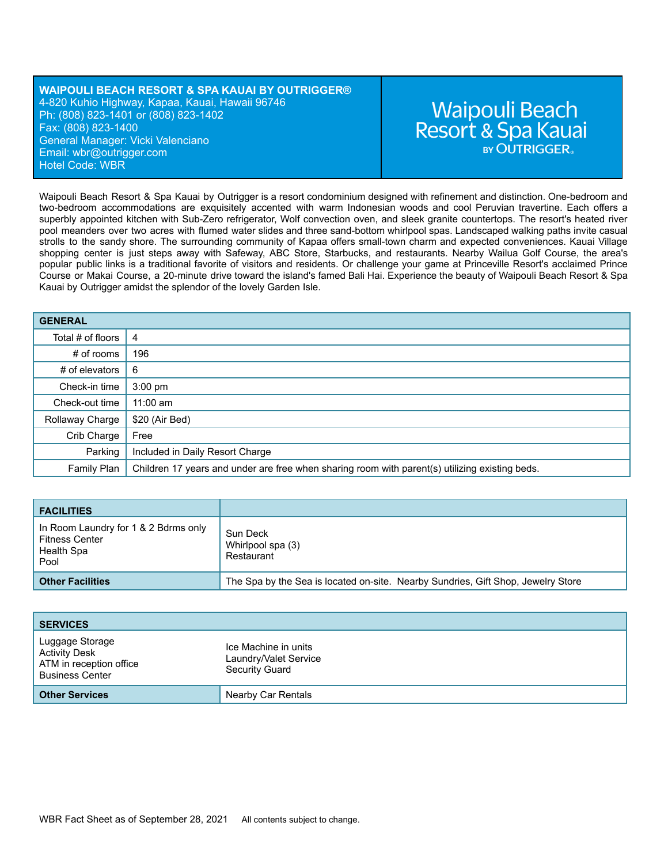### **WAIPOULI BEACH RESORT & SPA KAUAI BY OUTRIGGER®** 4-820 Kuhio Highway, Kapaa, Kauai, Hawaii 96746 Ph: (808) 823-1401 or (808) 823-1402 Fax: (808) 823-1400 General Manager: Vicki Valenciano Email: wbr[@outrigger.com](mailto:orf@outrigger.com) Hotel Code: WBR

# **Waipouli Beach** Resort & Spa Kauai **BY OUTRIGGER**

Waipouli Beach Resort & Spa Kauai by Outrigger is a resort condominium designed with refinement and distinction. One-bedroom and two-bedroom accommodations are exquisitely accented with warm Indonesian woods and cool Peruvian travertine. Each offers a superbly appointed kitchen with Sub-Zero refrigerator, Wolf convection oven, and sleek granite countertops. The resort's heated river pool meanders over two acres with flumed water slides and three sand-bottom whirlpool spas. Landscaped walking paths invite casual strolls to the sandy shore. The surrounding community of Kapaa offers small-town charm and expected conveniences. Kauai Village shopping center is just steps away with Safeway, ABC Store, Starbucks, and restaurants. Nearby Wailua Golf Course, the area's popular public links is a traditional favorite of visitors and residents. Or challenge your game at Princeville Resort's acclaimed Prince Course or Makai Course, a 20-minute drive toward the island's famed Bali Hai. Experience the beauty of Waipouli Beach Resort & Spa Kauai by Outrigger amidst the splendor of the lovely Garden Isle.

| <b>GENERAL</b>    |                                                                                                |
|-------------------|------------------------------------------------------------------------------------------------|
| Total # of floors | 4                                                                                              |
| $#$ of rooms      | 196                                                                                            |
| # of elevators    | -6                                                                                             |
| Check-in time     | $3:00 \text{ pm}$                                                                              |
| Check-out time    | $11:00$ am                                                                                     |
| Rollaway Charge   | \$20 (Air Bed)                                                                                 |
| Crib Charge       | Free                                                                                           |
| Parking           | Included in Daily Resort Charge                                                                |
| Family Plan       | Children 17 years and under are free when sharing room with parent(s) utilizing existing beds. |

| <b>FACILITIES</b>                                                                   |                                                                                  |
|-------------------------------------------------------------------------------------|----------------------------------------------------------------------------------|
| In Room Laundry for 1 & 2 Bdrms only<br><b>Fitness Center</b><br>Health Spa<br>Pool | Sun Deck<br>Whirlpool spa (3)<br>Restaurant                                      |
| <b>Other Facilities</b>                                                             | The Spa by the Sea is located on-site. Nearby Sundries, Gift Shop, Jewelry Store |

| <b>SERVICES</b>                                                                              |                                                                 |
|----------------------------------------------------------------------------------------------|-----------------------------------------------------------------|
| Luggage Storage<br><b>Activity Desk</b><br>ATM in reception office<br><b>Business Center</b> | Ice Machine in units<br>Laundry/Valet Service<br>Security Guard |
| <b>Other Services</b>                                                                        | Nearby Car Rentals                                              |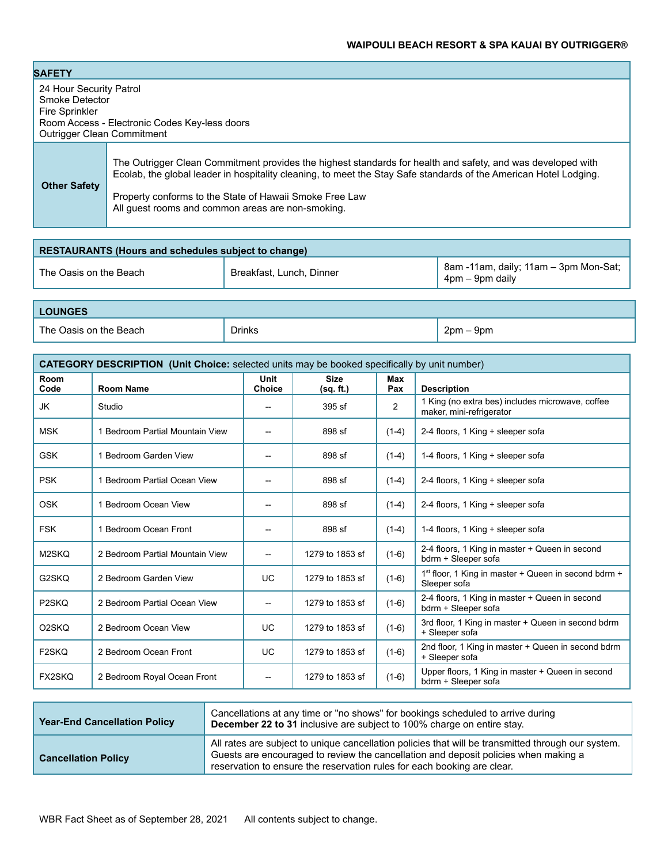# **WAIPOULI BEACH RESORT & SPA KAUAI BY OUTRIGGER®**

| <b>SAFETY</b>                                                                                    |                                                                                                                                                                                                                                                                                                                                                  |
|--------------------------------------------------------------------------------------------------|--------------------------------------------------------------------------------------------------------------------------------------------------------------------------------------------------------------------------------------------------------------------------------------------------------------------------------------------------|
| 24 Hour Security Patrol<br>Smoke Detector<br>Fire Sprinkler<br><b>Outrigger Clean Commitment</b> | Room Access - Electronic Codes Key-less doors                                                                                                                                                                                                                                                                                                    |
| <b>Other Safety</b>                                                                              | The Outrigger Clean Commitment provides the highest standards for health and safety, and was developed with<br>Ecolab, the global leader in hospitality cleaning, to meet the Stay Safe standards of the American Hotel Lodging.<br>Property conforms to the State of Hawaii Smoke Free Law<br>All quest rooms and common areas are non-smoking. |

| <b>RESTAURANTS (Hours and schedules subject to change)</b> |                          |                                                          |  |
|------------------------------------------------------------|--------------------------|----------------------------------------------------------|--|
| The Oasis on the Beach                                     | Breakfast, Lunch, Dinner | 8am -11am, daily; 11am - 3pm Mon-Sat;<br>4pm – 9pm daily |  |

| <b>LOUNGES</b>         |               |            |  |  |
|------------------------|---------------|------------|--|--|
| The Oasis on the Beach | <b>Drinks</b> | 2pm<br>9pm |  |  |

| <b>CATEGORY DESCRIPTION (Unit Choice:</b> selected units may be booked specifically by unit number) |                                 |                              |                          |            |                                                                              |
|-----------------------------------------------------------------------------------------------------|---------------------------------|------------------------------|--------------------------|------------|------------------------------------------------------------------------------|
| Room<br>Code                                                                                        | <b>Room Name</b>                | <b>Unit</b><br><b>Choice</b> | <b>Size</b><br>(sq. ft.) | Max<br>Pax | <b>Description</b>                                                           |
| JK                                                                                                  | Studio                          | --                           | $395$ sf                 | 2          | 1 King (no extra bes) includes microwave, coffee<br>maker, mini-refrigerator |
| <b>MSK</b>                                                                                          | 1 Bedroom Partial Mountain View | --                           | 898 sf                   | $(1-4)$    | 2-4 floors, 1 King + sleeper sofa                                            |
| <b>GSK</b>                                                                                          | 1 Bedroom Garden View           | --                           | 898 sf                   | $(1-4)$    | 1-4 floors, 1 King + sleeper sofa                                            |
| <b>PSK</b>                                                                                          | 1 Bedroom Partial Ocean View    | $-$                          | 898 sf                   | $(1-4)$    | 2-4 floors, 1 King + sleeper sofa                                            |
| OSK                                                                                                 | 1 Bedroom Ocean View            | --                           | 898 sf                   | $(1-4)$    | 2-4 floors, 1 King + sleeper sofa                                            |
| <b>FSK</b>                                                                                          | 1 Bedroom Ocean Front           |                              | 898 sf                   | $(1-4)$    | 1-4 floors, 1 King + sleeper sofa                                            |
| M2SKQ                                                                                               | 2 Bedroom Partial Mountain View | $-$                          | 1279 to 1853 sf          | $(1-6)$    | 2-4 floors, 1 King in master + Queen in second<br>bdrm + Sleeper sofa        |
| G2SKQ                                                                                               | 2 Bedroom Garden View           | <b>UC</b>                    | 1279 to 1853 sf          | $(1-6)$    | $1st$ floor, 1 King in master + Queen in second bdrm +<br>Sleeper sofa       |
| P <sub>2</sub> SKQ                                                                                  | 2 Bedroom Partial Ocean View    | $\overline{\phantom{a}}$     | 1279 to 1853 sf          | $(1-6)$    | 2-4 floors, 1 King in master + Queen in second<br>bdrm + Sleeper sofa        |
| O <sub>2</sub> SKQ                                                                                  | 2 Bedroom Ocean View            | <b>UC</b>                    | 1279 to 1853 sf          | $(1-6)$    | 3rd floor, 1 King in master + Queen in second bdrm<br>+ Sleeper sofa         |
| F <sub>2</sub> SKQ                                                                                  | 2 Bedroom Ocean Front           | <b>UC</b>                    | 1279 to 1853 sf          | $(1-6)$    | 2nd floor, 1 King in master + Queen in second bdrm<br>+ Sleeper sofa         |
| <b>FX2SKO</b>                                                                                       | 2 Bedroom Royal Ocean Front     | --                           | 1279 to 1853 sf          | $(1-6)$    | Upper floors, 1 King in master + Queen in second<br>bdrm + Sleeper sofa      |

| <b>Year-End Cancellation Policy</b> | Cancellations at any time or "no shows" for bookings scheduled to arrive during<br>December 22 to 31 inclusive are subject to 100% charge on entire stay.                                                                                                            |
|-------------------------------------|----------------------------------------------------------------------------------------------------------------------------------------------------------------------------------------------------------------------------------------------------------------------|
| <b>Cancellation Policy</b>          | All rates are subject to unique cancellation policies that will be transmitted through our system.<br>Guests are encouraged to review the cancellation and deposit policies when making a<br>reservation to ensure the reservation rules for each booking are clear. |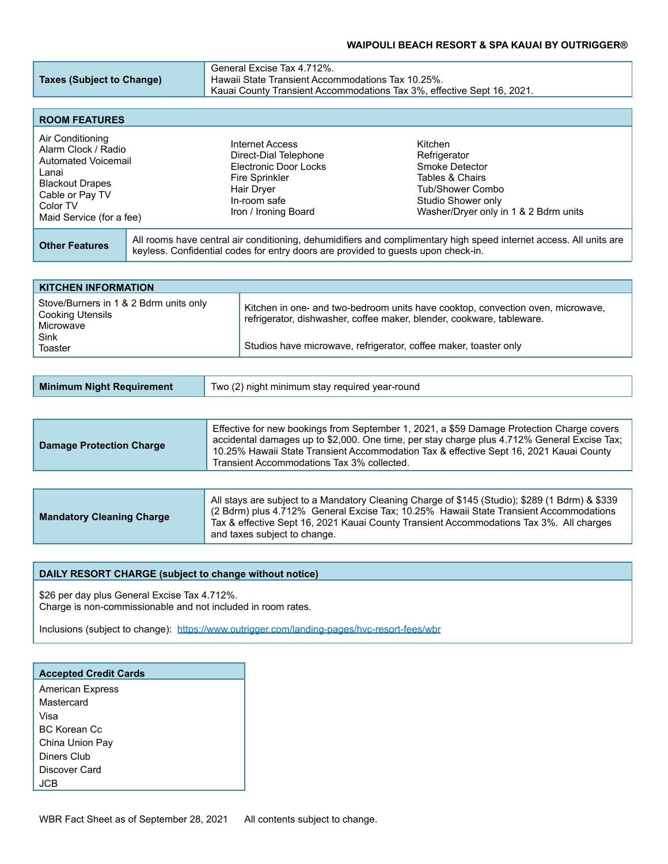## **WAIPOULI BEACH RESORT & SPA KAUAI BY OUTRIGGER®**

| General Excise Tax 4.712%.<br>Hawaii State Transient Accommodations Tax 10.25%.<br>Kauai County Transient Accommodations Tax 3%, effective Sept 16, 2021. |
|-----------------------------------------------------------------------------------------------------------------------------------------------------------|
|                                                                                                                                                           |
|                                                                                                                                                           |

| <b>ROOM FEATURES</b>                                                                                                                                         |                                                                                                                                           |                                                                                                                                                 |
|--------------------------------------------------------------------------------------------------------------------------------------------------------------|-------------------------------------------------------------------------------------------------------------------------------------------|-------------------------------------------------------------------------------------------------------------------------------------------------|
| Air Conditioning<br>Alarm Clock / Radio<br>Automated Voicemail<br>Lanai<br><b>Blackout Drapes</b><br>Cable or Pay TV<br>Color TV<br>Maid Service (for a fee) | Internet Access<br>Direct-Dial Telephone<br>Electronic Door Locks<br>Fire Sprinkler<br>Hair Dryer<br>In-room safe<br>Iron / Ironing Board | Kitchen<br>Refrigerator<br>Smoke Detector<br>Tables & Chairs<br>Tub/Shower Combo<br>Studio Shower only<br>Washer/Dryer only in 1 & 2 Bdrm units |
| <b>Other Features</b>                                                                                                                                        | keyless. Confidential codes for entry doors are provided to guests upon check-in.                                                         | All rooms have central air conditioning, dehumidifiers and complimentary high speed internet access. All units are                              |

| <b>KITCHEN INFORMATION</b>                                              |                                                                                                                                                          |  |  |  |
|-------------------------------------------------------------------------|----------------------------------------------------------------------------------------------------------------------------------------------------------|--|--|--|
| Stove/Burners in 1 & 2 Bdrm units only<br>Cooking Utensils<br>Microwave | Kitchen in one- and two-bedroom units have cooktop, convection oven, microwave,<br>refrigerator, dishwasher, coffee maker, blender, cookware, tableware. |  |  |  |
| Sink<br>Toaster                                                         | Studios have microwave, refrigerator, coffee maker, toaster only                                                                                         |  |  |  |

| Minimum Night Requirement | Two (2) night minimum stay required year-round |
|---------------------------|------------------------------------------------|
|---------------------------|------------------------------------------------|

| <b>Damage Protection Charge</b> | Effective for new bookings from September 1, 2021, a \$59 Damage Protection Charge covers<br>accidental damages up to \$2,000. One time, per stay charge plus 4.712% General Excise Tax;<br>10.25% Hawaii State Transient Accommodation Tax & effective Sept 16, 2021 Kauai County<br>Transient Accommodations Tax 3% collected. |
|---------------------------------|----------------------------------------------------------------------------------------------------------------------------------------------------------------------------------------------------------------------------------------------------------------------------------------------------------------------------------|
|---------------------------------|----------------------------------------------------------------------------------------------------------------------------------------------------------------------------------------------------------------------------------------------------------------------------------------------------------------------------------|

| <b>Mandatory Cleaning Charge</b> | All stays are subject to a Mandatory Cleaning Charge of \$145 (Studio); \$289 (1 Bdrm) & \$339<br>(2 Bdrm) plus 4.712% General Excise Tax; 10.25% Hawaii State Transient Accommodations<br>Tax & effective Sept 16, 2021 Kauai County Transient Accommodations Tax 3%. All charges<br>and taxes subject to change. |
|----------------------------------|--------------------------------------------------------------------------------------------------------------------------------------------------------------------------------------------------------------------------------------------------------------------------------------------------------------------|
|----------------------------------|--------------------------------------------------------------------------------------------------------------------------------------------------------------------------------------------------------------------------------------------------------------------------------------------------------------------|

#### **DAILY RESORT CHARGE (subject to change without notice)**

\$26 per day plus General Excise Tax 4.712%. Charge is non-commissionable and not included in room rates.

Inclusions (subject to change): <https://www.outrigger.com/landing-pages/hvc-resort-fees/wbr>

| <b>Accepted Credit Cards</b> |
|------------------------------|
| <b>American Express</b>      |
| Mastercard                   |
| Visa                         |
| BC Korean Cc                 |
| China Union Pay              |
| Diners Club                  |
| Discover Card                |
|                              |